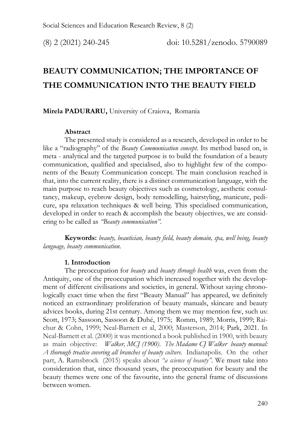# **BEAUTY COMMUNICATION; THE IMPORTANCE OF THE COMMUNICATION INTO THE BEAUTY FIELD**

## **Mirela PADURARU,** University of Craiova, Romania

## **Abstract**

The presented study is considered as a research, developed in order to be like a "radiography" of the *Beauty Communication concept*. Its method based on, is meta - analytical and the targeted purpose is to build the foundation of a beauty communication, qualified and specialised, also to highlight few of the components of the Beauty Communication concept. The main conclusion reached is that, into the current reality, there is a distinct communication language, with the main purpose to reach beauty objectives such as cosmetology, aesthetic consultancy, makeup, eyebrow design, body remodelling, hairstyling, manicure, pedicure, spa relaxation techniques & well being. This specialised communication, developed in order to reach & accomplish the beauty objectives, we are considering to be called as *"Beauty communication".*

**Keywords:** *beauty, beautician, beauty field, beauty domain, spa, well being, beauty language, beauty communication.*

#### **1. Introduction**

The preoccupation for *beauty* and *beauty through health* was, even from the Antiquity, one of the preoccupation which increased together with the development of different civilisations and societies, in general. Without saying chronologically exact time when the first "Beauty Manual" has appeared, we definitely noticed an extraordinary proliferation of beauty manuals, skincare and beauty advices books, during 21st century. Among them we may mention few, such us: Scott, 1973; Sassoon, Sassoon & Duhé, 1975; Romm, 1989; Morris, 1999; Raichur & Cohn, 1999; Neal-Barnett et al, 2000; Masterson, 2014; Park, 2021. In Neal-Barnett et al. (2000) it was mentioned a book published in 1900, with beauty as main objective: *Walker, MCJ (1900)*. *The Madame CJ Walker beauty manual: A thorough treatise covering all branches of beauty culture*. Indianapolis. On the other part, A. Ramsbrock (2015) speaks about *"a science of beauty".* We must take into consideration that, since thousand years, the preoccupation for beauty and the beauty themes were one of the favourite, into the general frame of discussions between women.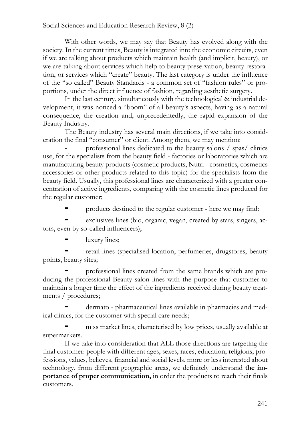With other words, we may say that Beauty has evolved along with the society. In the current times, Beauty is integrated into the economic circuits, even if we are talking about products which maintain health (and implicit, beauty), or we are talking about services which help to beauty preservation, beauty restoration, or services which "create" beauty. The last category is under the influence of the "so called" Beauty Standards - a common set of "fashion rules" or proportions, under the direct influence of fashion, regarding aesthetic surgery.

In the last century, simultaneously with the technological & industrial development, it was noticed a "boom" of all beauty's aspects, having as a natural consequence, the creation and, unprecedentedly, the rapid expansion of the Beauty Industry.

The Beauty industry has several main directions, if we take into consideration the final "consumer" or client. Among them, we may mention:

**-** professional lines dedicated to the beauty salons / spas/ clinics use, for the specialists from the beauty field - factories or laboratories which are manufacturing beauty products (cosmetic products, Nutri - cosmetics, cosmetics accessories or other products related to this topic) for the specialists from the beauty field. Usually, this professional lines are characterized with a greater concentration of active ingredients, comparing with the cosmetic lines produced for the regular customer;

**-** products destined to the regular customer - here we may find:

**-** exclusives lines (bio, organic, vegan, created by stars, singers, actors, even by so-called influencers);

**-** luxury lines;

**-** retail lines (specialised location, perfumeries, drugstores, beauty points, beauty sites;

**-** professional lines created from the same brands which are producing the professional Beauty salon lines with the purpose that customer to maintain a longer time the effect of the ingredients received during beauty treatments / procedures;

**-** dermato - pharmaceutical lines available in pharmacies and medical clinics, for the customer with special care needs;

**-** m ss market lines, characterised by low prices, usually available at supermarkets.

If we take into consideration that ALL those directions are targeting the final customer: people with different ages, sexes, races, education, religions, professions, values, believes, financial and social levels, more or less interested about technology, from different geographic areas, we definitely understand **the importance of proper communication,** in order the products to reach their finals customers.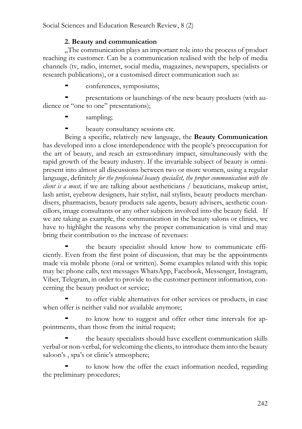# **2. Beauty and communication**

..The communication plays an important role into the process of product. reaching its customer. Can be a communication realised with the help of media channels (tv, radio, internet, social media, magazines, newspapers, specialists or research publications), or a customised direct communication such as:

**-** conferences, symposiums;

**-** presentations or launchings of the new beauty products (with audience or "one to one" presentations);

- **-** sampling;
- **-** beauty consultancy sessions etc.

Being a specific, relatively new language, the **Beauty Communication** has developed into a close interdependence with the people's preoccupation for the art of beauty, and reach an extraordinary impact, simultaneously with the rapid growth of the beauty industry. If the invariable subject of beauty is omnipresent into almost all discussions between two or more women, using a regular language, definitely *for the professional beauty specialist, the proper communication with the client is a must,* if we are talking about aestheticians / beauticians, makeup artist, lash artist, eyebrow designers, hair stylist, nail stylists, beauty products merchandisers, pharmacists, beauty products sale agents, beauty advisers, aesthetic councillors, image consultants or any other subjects involved into the beauty field. If we are taking as example, the communication in the beauty salons or clinics, we have to highlight the reasons why the proper communication is vital and may bring their contribution to the increase of revenues:

**-** the beauty specialist should know how to communicate efficiently. Even from the first point of discussion, that may be the appointments made via mobile phone (oral or written). Some examples related with this topic may be: phone calls, text messages WhatsApp, Facebook, Messenger, Instagram, Viber, Telegram, in order to provide to the customer pertinent information, concerning the beauty product or service;

**-** to offer viable alternatives for other services or products, in case when offer is neither valid nor available anymore;

**-** to know how to suggest and offer other time intervals for appointments, than those from the initial request;

**-** the beauty specialists should have excellent communication skills verbal or non-verbal, for welcoming the clients, to introduce them into the beauty saloon's , spa's or clinic's atmosphere;

**-** to know how the offer the exact information needed, regarding the preliminary procedures;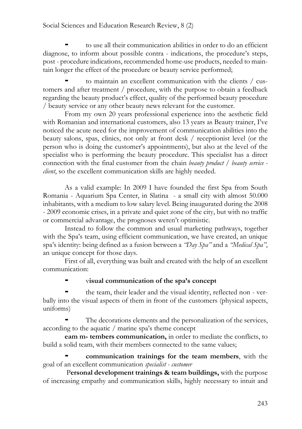**-** to use all their communication abilities in order to do an efficient diagnose, to inform about possible contra - indications, the procedure's steps, post - procedure indications, recommended home-use products, needed to maintain longer the effect of the procedure or beauty service performed;

**-** to maintain an excellent communication with the clients / customers and after treatment / procedure, with the purpose to obtain a feedback regarding the beauty product's effect, quality of the performed beauty procedure / beauty service or any other beauty news relevant for the customer.

From my own 20 years professional experience into the aesthetic field with Romanian and international customers, also 13 years as Beauty trainer, I've noticed the acute need for the improvement of communication abilities into the beauty salons, spas, clinics, not only at front desk / receptionist level (or the person who is doing the customer's appointments), but also at the level of the specialist who is performing the beauty procedure. This specialist has a direct connection with the final customer from the chain *beauty product / beauty service client*, so the excellent communication skills are highly needed.

As a valid example: In 2009 I have founded the first Spa from South Romania - Aquarium Spa Center, in Slatina - a small city with almost 50.000 inhabitants, with a medium to low salary level. Being inaugurated during the 2008 - 2009 economic crises, in a private and quiet zone of the city, but with no traffic or commercial advantage, the prognoses weren't optimistic.

Instead to follow the common and usual marketing pathways, together with the Spa's team, using efficient communication, we have created, an unique spa's identity: being defined as a fusion between a *"Day Spa"* and a *"Medical Spa"*, an unique concept for those days.

First of all, everything was built and created with the help of an excellent communication:

# **-** v**isual communication of the spa's concept**

**-** the team, their leader and the visual identity, reflected non - verbally into the visual aspects of them in front of the customers (physical aspects, uniforms)

**-** The decorations elements and the personalization of the services, according to the aquatic / marine spa's theme concept

**eam m- tembers communication,** in order to mediate the conflicts, to build a solid team, with their members connected to the same values;

**- communication trainings for the team members**, with the goal of an excellent communication *specialist - customer*

P**ersonal development trainings & team buildings,** with the purpose of increasing empathy and communication skills, highly necessary to intuit and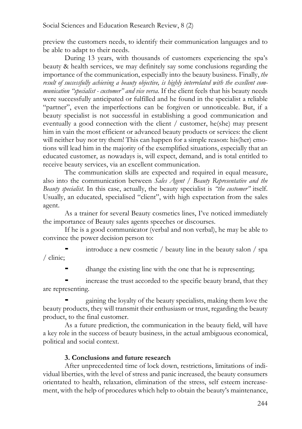preview the customers needs, to identify their communication languages and to be able to adapt to their needs.

During 13 years, with thousands of customers experiencing the spa's beauty & health services, we may definitely say some conclusions regarding the importance of the communication, especially into the beauty business. Finally, *the result of successfully achieving a beauty objective, is highly interrelated with the excellent communication "specialist - customer" and vice versa*. If the client feels that his beauty needs were successfully anticipated or fulfilled and he found in the specialist a reliable "partner", even the imperfections can be forgiven or unnoticeable. But, if a beauty specialist is not successful in establishing a good communication and eventually a good connection with the client / customer, he(she) may present him in vain the most efficient or advanced beauty products or services: the client will neither buy nor try them! This can happen for a simple reason: his(her) emotions will lead him in the majority of the exemplified situations, especially that an educated customer, as nowadays is, will expect, demand, and is total entitled to receive beauty services, via an excellent communication.

The communication skills are expected and required in equal measure, also into the communication between *Sales Agent / Beauty Representative and the Beauty specialist*. In this case, actually, the beauty specialist is *"the customer"* itself. Usually, an educated, specialised "client", with high expectation from the sales agent.

As a trainer for several Beauty cosmetics lines, I've noticed immediately the importance of Beauty sales agents speeches or discourses.

If he is a good communicator (verbal and non verbal), he may be able to convince the power decision person to:

**-** introduce a new cosmetic / beauty line in the beauty salon / spa / clinic;

**-** dhange the existing line with the one that he is representing;

**-** increase the trust accorded to the specific beauty brand, that they are representing.

**-** gaining the loyalty of the beauty specialists, making them love the beauty products, they will transmit their enthusiasm or trust, regarding the beauty product, to the final customer.

As a future prediction, the communication in the beauty field, will have a key role in the success of beauty business, in the actual ambiguous economical, political and social context.

# **3. Conclusions and future research**

After unprecedented time of lock down, restrictions, limitations of individual liberties, with the level of stress and panic increased, the beauty consumers orientated to health, relaxation, elimination of the stress, self esteem increasement, with the help of procedures which help to obtain the beauty's maintenance,